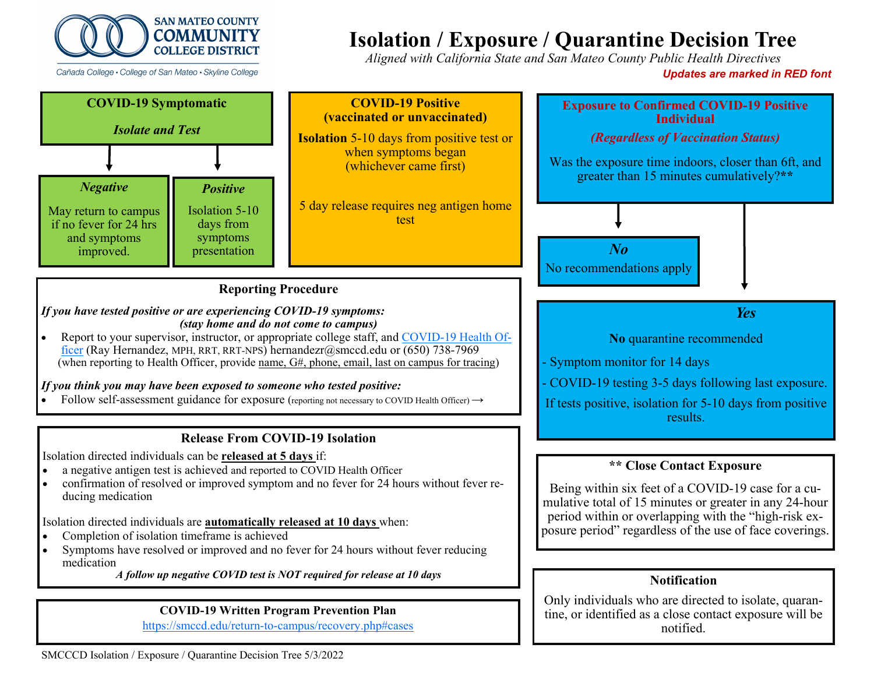

Cañada College • College of San Mateo • Skyline College

# **Isolation / Exposure / Quarantine Decision Tree**

*Aligned with California State and San Mateo County Public Health Directives* 

*Updates are marked in RED font* 

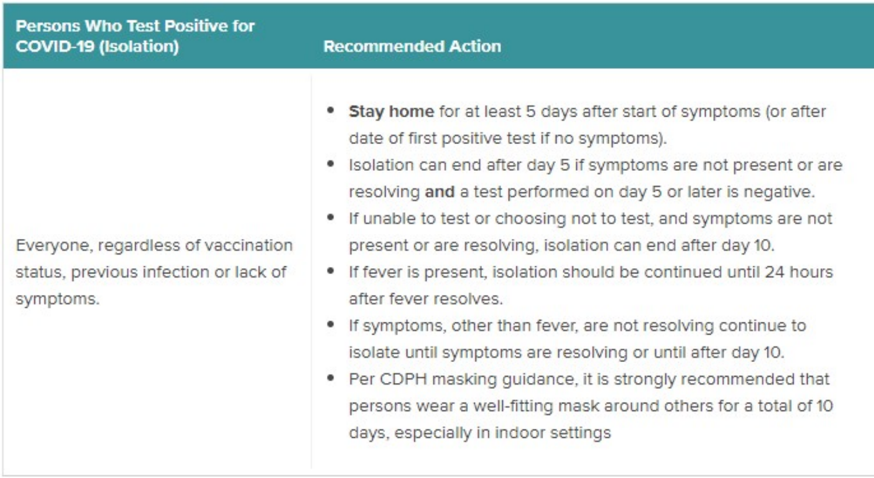### **Persons Who Test Positive for COVID-19 (Isolation)**

## **Recommended Action**

Everyone, regardless of vaccination status, previous infection or lack of symptoms.

- Stay home for at least 5 days after start of symptoms (or after date of first positive test if no symptoms).
- Isolation can end after day 5 if symptoms are not present or are resolving and a test performed on day 5 or later is negative.
- If unable to test or choosing not to test, and symptoms are not present or are resolving, isolation can end after day 10.
- If fever is present, isolation should be continued until 24 hours after fever resolves.
- If symptoms, other than fever, are not resolving continue to isolate until symptoms are resolving or until after day 10.
- Per CDPH masking guidance, it is strongly recommended that persons wear a well-fitting mask around others for a total of 10 days, especially in indoor settings